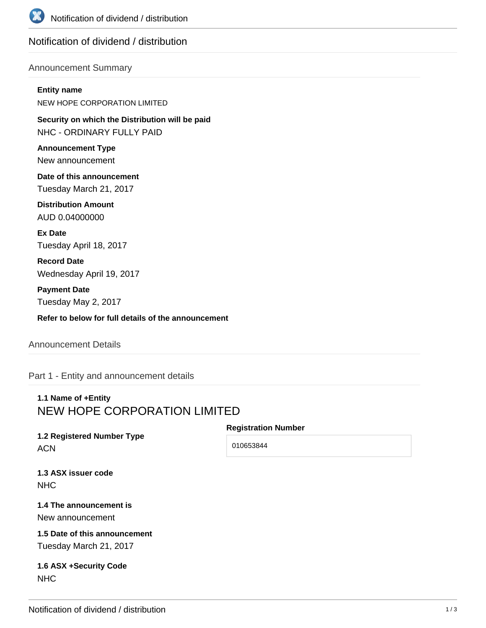

# Notification of dividend / distribution

### Announcement Summary

#### **Entity name**

NEW HOPE CORPORATION LIMITED

**Security on which the Distribution will be paid** NHC - ORDINARY FULLY PAID

**Announcement Type** New announcement

**Date of this announcement** Tuesday March 21, 2017

**Distribution Amount** AUD 0.04000000

**Ex Date** Tuesday April 18, 2017

**Record Date** Wednesday April 19, 2017

**Payment Date** Tuesday May 2, 2017

**Refer to below for full details of the announcement**

### Announcement Details

Part 1 - Entity and announcement details

# **1.1 Name of +Entity** NEW HOPE CORPORATION LIMITED

**1.2 Registered Number Type** ACN

**Registration Number**

010653844

**1.3 ASX issuer code NHC** 

**1.4 The announcement is** New announcement

**1.5 Date of this announcement** Tuesday March 21, 2017

**1.6 ASX +Security Code** NHC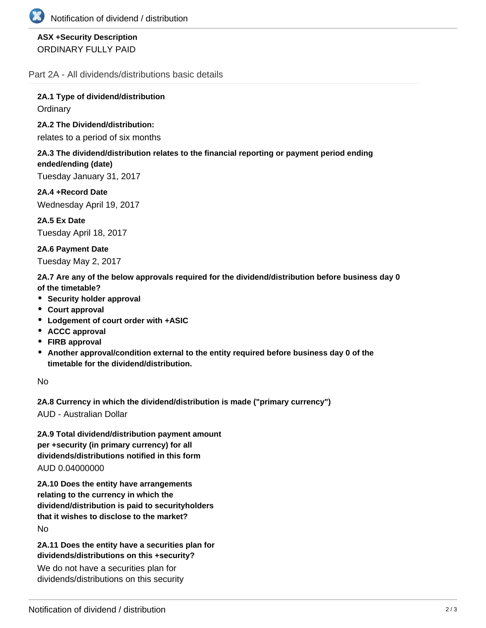

## **ASX +Security Description** ORDINARY FULLY PAID

Part 2A - All dividends/distributions basic details

**2A.1 Type of dividend/distribution Ordinary** 

### **2A.2 The Dividend/distribution:**

relates to a period of six months

#### **2A.3 The dividend/distribution relates to the financial reporting or payment period ending ended/ending (date)**

Tuesday January 31, 2017

**2A.4 +Record Date** Wednesday April 19, 2017

**2A.5 Ex Date** Tuesday April 18, 2017

**2A.6 Payment Date** Tuesday May 2, 2017

**2A.7 Are any of the below approvals required for the dividend/distribution before business day 0 of the timetable?**

- **•** Security holder approval
- **Court approval**
- **Lodgement of court order with +ASIC**
- **ACCC approval**
- **FIRB approval**
- **Another approval/condition external to the entity required before business day 0 of the timetable for the dividend/distribution.**

No

**2A.8 Currency in which the dividend/distribution is made ("primary currency")**

AUD - Australian Dollar

**2A.9 Total dividend/distribution payment amount per +security (in primary currency) for all dividends/distributions notified in this form** AUD 0.04000000

**2A.10 Does the entity have arrangements relating to the currency in which the dividend/distribution is paid to securityholders that it wishes to disclose to the market?** No

**2A.11 Does the entity have a securities plan for dividends/distributions on this +security?**

We do not have a securities plan for dividends/distributions on this security